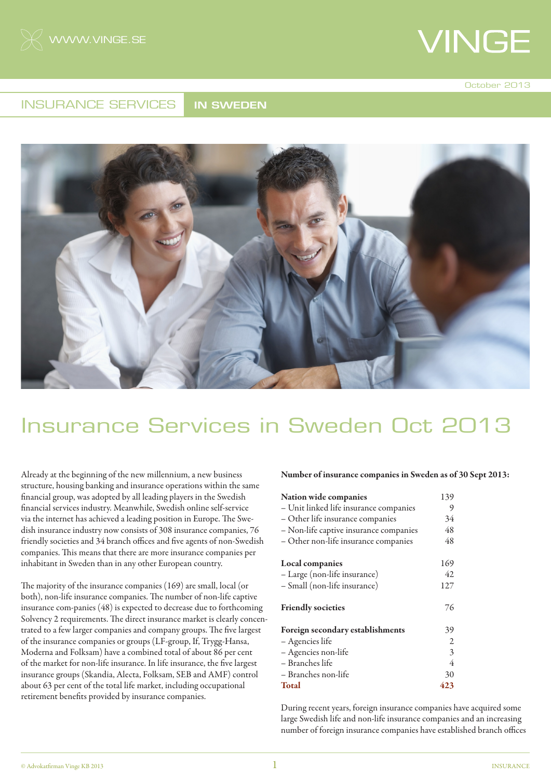

October 2013

#### INSURANCE SERVICES **IN SWEDEN**



### Insurance Services in Sweden Oct 2013

Already at the beginning of the new millennium, a new business structure, housing banking and insurance operations within the same financial group, was adopted by all leading players in the Swedish financial services industry. Meanwhile, Swedish online self-service via the internet has achieved a leading position in Europe. The Swedish insurance industry now consists of 308 insurance companies, 76 friendly societies and 34 branch offices and five agents of non-Swedish companies. This means that there are more insurance companies per inhabitant in Sweden than in any other European country.

The majority of the insurance companies (169) are small, local (or both), non-life insurance companies. The number of non-life captive insurance com-panies (48) is expected to decrease due to forthcoming Solvency 2 requirements. The direct insurance market is clearly concentrated to a few larger companies and company groups. The five largest of the insurance companies or groups (LF-group, If, Trygg-Hansa, Moderna and Folksam) have a combined total of about 86 per cent of the market for non-life insurance. In life insurance, the five largest insurance groups (Skandia, Alecta, Folksam, SEB and AMF) control about 63 per cent of the total life market, including occupational retirement benefits provided by insurance companies.

#### Number of insurance companies in Sweden as of 30 Sept 2013:

| Nation wide companies<br>- Unit linked life insurance companies<br>- Other life insurance companies | 139<br>9<br>34 |                                        |    |
|-----------------------------------------------------------------------------------------------------|----------------|----------------------------------------|----|
|                                                                                                     |                | - Non-life captive insurance companies | 48 |
|                                                                                                     |                | - Other non-life insurance companies   | 48 |
| Local companies                                                                                     | 169            |                                        |    |
| - Large (non-life insurance)                                                                        | 42             |                                        |    |
| - Small (non-life insurance)                                                                        | 127            |                                        |    |
| <b>Friendly societies</b>                                                                           | 76             |                                        |    |
| Foreign secondary establishments                                                                    | 39             |                                        |    |
| - Agencies life                                                                                     | $\overline{2}$ |                                        |    |
| - Agencies non-life                                                                                 | 3              |                                        |    |
| - Branches life                                                                                     | 4              |                                        |    |
| - Branches non-life                                                                                 | 30             |                                        |    |
| <b>Total</b>                                                                                        | 423            |                                        |    |

During recent years, foreign insurance companies have acquired some large Swedish life and non-life insurance companies and an increasing number of foreign insurance companies have established branch offices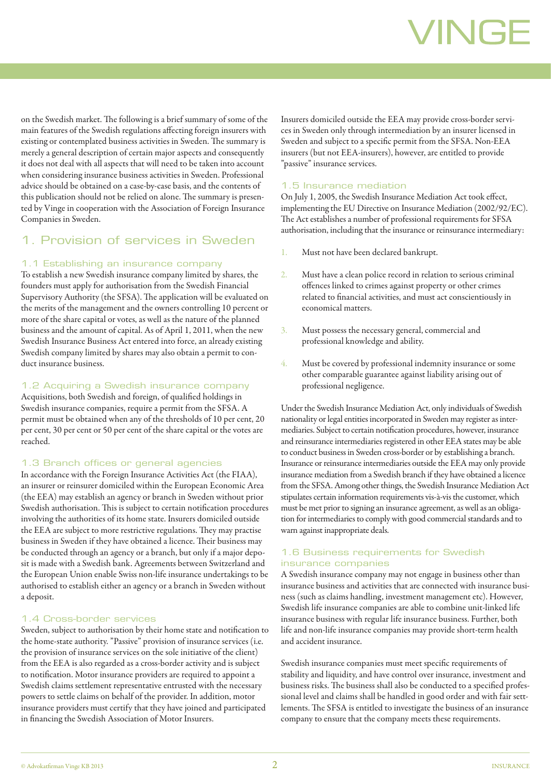on the Swedish market. The following is a brief summary of some of the main features of the Swedish regulations affecting foreign insurers with existing or contemplated business activities in Sweden. The summary is merely a general description of certain major aspects and consequently it does not deal with all aspects that will need to be taken into account when considering insurance business activities in Sweden. Professional advice should be obtained on a case-by-case basis, and the contents of this publication should not be relied on alone. The summary is presented by Vinge in cooperation with the Association of Foreign Insurance Companies in Sweden.

#### 1. Provision of services in Sweden

#### 1.1 Establishing an insurance company

To establish a new Swedish insurance company limited by shares, the founders must apply for authorisation from the Swedish Financial Supervisory Authority (the SFSA). The application will be evaluated on the merits of the management and the owners controlling 10 percent or more of the share capital or votes, as well as the nature of the planned business and the amount of capital. As of April 1, 2011, when the new Swedish Insurance Business Act entered into force, an already existing Swedish company limited by shares may also obtain a permit to conduct insurance business.

#### 1.2 Acquiring a Swedish insurance company

Acquisitions, both Swedish and foreign, of qualified holdings in Swedish insurance companies, require a permit from the SFSA. A permit must be obtained when any of the thresholds of 10 per cent, 20 per cent, 30 per cent or 50 per cent of the share capital or the votes are reached.

#### 1.3 Branch offices or general agencies

In accordance with the Foreign Insurance Activities Act (the FIAA), an insurer or reinsurer domiciled within the European Economic Area (the EEA) may establish an agency or branch in Sweden without prior Swedish authorisation. This is subject to certain notification procedures involving the authorities of its home state. Insurers domiciled outside the EEA are subject to more restrictive regulations. They may practise business in Sweden if they have obtained a licence. Their business may be conducted through an agency or a branch, but only if a major deposit is made with a Swedish bank. Agreements between Switzerland and the European Union enable Swiss non-life insurance undertakings to be authorised to establish either an agency or a branch in Sweden without a deposit.

#### 1.4 Cross-border services

Sweden, subject to authorisation by their home state and notification to the home-state authority. "Passive" provision of insurance services (i.e. the provision of insurance services on the sole initiative of the client) from the EEA is also regarded as a cross-border activity and is subject to notification. Motor insurance providers are required to appoint a Swedish claims settlement representative entrusted with the necessary powers to settle claims on behalf of the provider. In addition, motor insurance providers must certify that they have joined and participated in financing the Swedish Association of Motor Insurers.

Insurers domiciled outside the EEA may provide cross-border services in Sweden only through intermediation by an insurer licensed in Sweden and subject to a specific permit from the SFSA. Non-EEA insurers (but not EEA-insurers), however, are entitled to provide "passive" insurance services.

#### 1.5 Insurance mediation

On July 1, 2005, the Swedish Insurance Mediation Act took effect, implementing the EU Directive on Insurance Mediation (2002/92/EC). The Act establishes a number of professional requirements for SFSA authorisation, including that the insurance or reinsurance intermediary:

- 1. Must not have been declared bankrupt.
- 2. Must have a clean police record in relation to serious criminal offences linked to crimes against property or other crimes related to financial activities, and must act conscientiously in economical matters.
- 3. Must possess the necessary general, commercial and professional knowledge and ability.
- 4. Must be covered by professional indemnity insurance or some other comparable guarantee against liability arising out of professional negligence.

Under the Swedish Insurance Mediation Act, only individuals of Swedish nationality or legal entities incorporated in Sweden may register as intermediaries. Subject to certain notification procedures, however, insurance and reinsurance intermediaries registered in other EEA states may be able to conduct business in Sweden cross-border or by establishing a branch. Insurance or reinsurance intermediaries outside the EEA may only provide insurance mediation from a Swedish branch if they have obtained a licence from the SFSA. Among other things, the Swedish Insurance Mediation Act stipulates certain information requirements vis-à-vis the customer, which must be met prior to signing an insurance agreement, as well as an obligation for intermediaries to comply with good commercial standards and to warn against inappropriate deals.

#### 1.6 Business requirements for Swedish insurance companies

A Swedish insurance company may not engage in business other than insurance business and activities that are connected with insurance business (such as claims handling, investment management etc). However, Swedish life insurance companies are able to combine unit-linked life insurance business with regular life insurance business. Further, both life and non-life insurance companies may provide short-term health and accident insurance.

Swedish insurance companies must meet specific requirements of stability and liquidity, and have control over insurance, investment and business risks. The business shall also be conducted to a specified professional level and claims shall be handled in good order and with fair settlements. The SFSA is entitled to investigate the business of an insurance company to ensure that the company meets these requirements.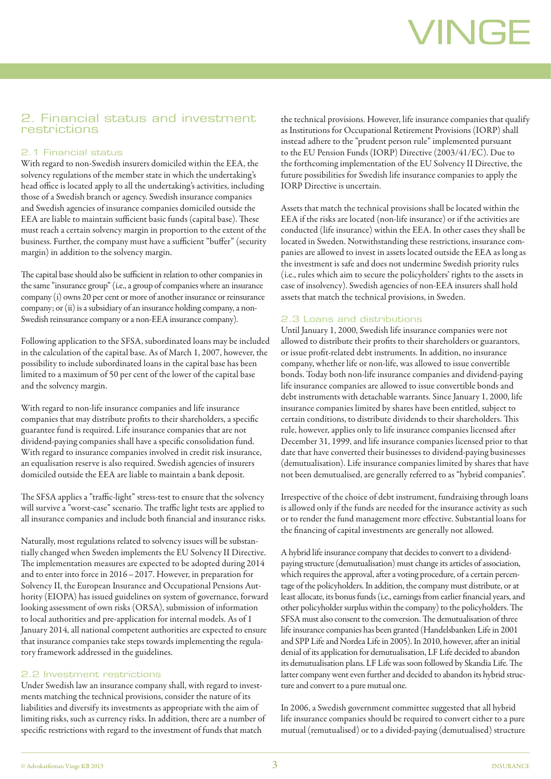#### 2. Financial status and investment restrictions

#### 2.1 Financial status

With regard to non-Swedish insurers domiciled within the EEA, the solvency regulations of the member state in which the undertaking's head office is located apply to all the undertaking's activities, including those of a Swedish branch or agency. Swedish insurance companies and Swedish agencies of insurance companies domiciled outside the EEA are liable to maintain sufficient basic funds (capital base). These must reach a certain solvency margin in proportion to the extent of the business. Further, the company must have a sufficient "buffer" (security margin) in addition to the solvency margin.

The capital base should also be sufficient in relation to other companies in the same "insurance group" (i.e., a group of companies where an insurance company (i) owns 20 per cent or more of another insurance or reinsurance company; or (ii) is a subsidiary of an insurance holding company, a non-Swedish reinsurance company or a non-EEA insurance company).

Following application to the SFSA, subordinated loans may be included in the calculation of the capital base. As of March 1, 2007, however, the possibility to include subordinated loans in the capital base has been limited to a maximum of 50 per cent of the lower of the capital base and the solvency margin.

With regard to non-life insurance companies and life insurance companies that may distribute profits to their shareholders, a specific guarantee fund is required. Life insurance companies that are not dividend-paying companies shall have a specific consolidation fund. With regard to insurance companies involved in credit risk insurance, an equalisation reserve is also required. Swedish agencies of insurers domiciled outside the EEA are liable to maintain a bank deposit.

The SFSA applies a "traffic-light" stress-test to ensure that the solvency will survive a "worst-case" scenario. The traffic light tests are applied to all insurance companies and include both financial and insurance risks.

Naturally, most regulations related to solvency issues will be substantially changed when Sweden implements the EU Solvency II Directive. The implementation measures are expected to be adopted during 2014 and to enter into force in 2016–2017. However, in preparation for Solvency II, the European Insurance and Occupational Pensions Authority (EIOPA) has issued guidelines on system of governance, forward looking assessment of own risks (ORSA), submission of information to local authorities and pre-application for internal models. As of 1 January 2014, all national competent authorities are expected to ensure that insurance companies take steps towards implementing the regulatory framework addressed in the guidelines.

#### 2.2 Investment restrictions

Under Swedish law an insurance company shall, with regard to investments matching the technical provisions, consider the nature of its liabilities and diversify its investments as appropriate with the aim of limiting risks, such as currency risks. In addition, there are a number of specific restrictions with regard to the investment of funds that match

the technical provisions. However, life insurance companies that qualify as Institutions for Occupational Retirement Provisions (IORP) shall instead adhere to the "prudent person rule" implemented pursuant to the EU Pension Funds (IORP) Directive (2003/41/EC). Due to the forthcoming implementation of the EU Solvency II Directive, the future possibilities for Swedish life insurance companies to apply the IORP Directive is uncertain.

Assets that match the technical provisions shall be located within the EEA if the risks are located (non-life insurance) or if the activities are conducted (life insurance) within the EEA. In other cases they shall be located in Sweden. Notwithstanding these restrictions, insurance companies are allowed to invest in assets located outside the EEA as long as the investment is safe and does not undermine Swedish priority rules (i.e., rules which aim to secure the policyholders' rights to the assets in case of insolvency). Swedish agencies of non-EEA insurers shall hold assets that match the technical provisions, in Sweden.

#### 2.3 Loans and distributions

Until January 1, 2000, Swedish life insurance companies were not allowed to distribute their profits to their shareholders or guarantors, or issue profit-related debt instruments. In addition, no insurance company, whether life or non-life, was allowed to issue convertible bonds. Today both non-life insurance companies and dividend-paying life insurance companies are allowed to issue convertible bonds and debt instruments with detachable warrants. Since January 1, 2000, life insurance companies limited by shares have been entitled, subject to certain conditions, to distribute dividends to their shareholders. This rule, however, applies only to life insurance companies licensed after December 31, 1999, and life insurance companies licensed prior to that date that have converted their businesses to dividend-paying businesses (demutualisation). Life insurance companies limited by shares that have not been demutualised, are generally referred to as "hybrid companies".

Irrespective of the choice of debt instrument, fundraising through loans is allowed only if the funds are needed for the insurance activity as such or to render the fund management more effective. Substantial loans for the financing of capital investments are generally not allowed.

A hybrid life insurance company that decides to convert to a dividendpaying structure (demutualisation) must change its articles of association, which requires the approval, after a voting procedure, of a certain percentage of the policyholders. In addition, the company must distribute, or at least allocate, its bonus funds (i.e., earnings from earlier financial years, and other policyholder surplus within the company) to the policyholders. The SFSA must also consent to the conversion. The demutualisation of three life insurance companies has been granted (Handelsbanken Life in 2001 and SPP Life and Nordea Life in 2005). In 2010, however, after an initial denial of its application for demutualisation, LF Life decided to abandon its demutualisation plans. LF Life was soon followed by Skandia Life. The latter company went even further and decided to abandon its hybrid structure and convert to a pure mutual one.

In 2006, a Swedish government committee suggested that all hybrid life insurance companies should be required to convert either to a pure mutual (remutualised) or to a divided-paying (demutualised) structure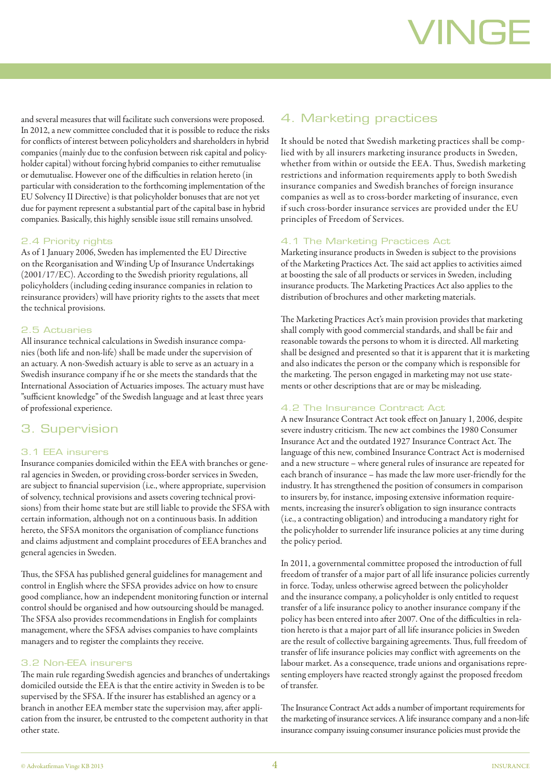and several measures that will facilitate such conversions were proposed. In 2012, a new committee concluded that it is possible to reduce the risks for conflicts of interest between policyholders and shareholders in hybrid companies (mainly due to the confusion between risk capital and policyholder capital) without forcing hybrid companies to either remutualise or demutualise. However one of the difficulties in relation hereto (in particular with consideration to the forthcoming implementation of the EU Solvency II Directive) is that policyholder bonuses that are not yet due for payment represent a substantial part of the capital base in hybrid companies. Basically, this highly sensible issue still remains unsolved.

#### 2.4 Priority rights

As of 1 January 2006, Sweden has implemented the EU Directive on the Reorganisation and Winding Up of Insurance Undertakings (2001/17/EC). According to the Swedish priority regulations, all policyholders (including ceding insurance companies in relation to reinsurance providers) will have priority rights to the assets that meet the technical provisions.

#### 2.5 Actuaries

All insurance technical calculations in Swedish insurance companies (both life and non-life) shall be made under the supervision of an actuary. A non-Swedish actuary is able to serve as an actuary in a Swedish insurance company if he or she meets the standards that the International Association of Actuaries imposes. The actuary must have "sufficient knowledge" of the Swedish language and at least three years of professional experience.

#### 3. Supervision

#### 3.1 EEA insurers

Insurance companies domiciled within the EEA with branches or general agencies in Sweden, or providing cross-border services in Sweden, are subject to financial supervision (i.e., where appropriate, supervision of solvency, technical provisions and assets covering technical provisions) from their home state but are still liable to provide the SFSA with certain information, although not on a continuous basis. In addition hereto, the SFSA monitors the organisation of compliance functions and claims adjustment and complaint procedures of EEA branches and general agencies in Sweden.

Thus, the SFSA has published general guidelines for management and control in English where the SFSA provides advice on how to ensure good compliance, how an independent monitoring function or internal control should be organised and how outsourcing should be managed. The SFSA also provides recommendations in English for complaints management, where the SFSA advises companies to have complaints managers and to register the complaints they receive.

#### 3.2 Non-EEA insurers

The main rule regarding Swedish agencies and branches of undertakings domiciled outside the EEA is that the entire activity in Sweden is to be supervised by the SFSA. If the insurer has established an agency or a branch in another EEA member state the supervision may, after application from the insurer, be entrusted to the competent authority in that other state.

#### 4. Marketing practices

It should be noted that Swedish marketing practices shall be complied with by all insurers marketing insurance products in Sweden, whether from within or outside the EEA. Thus, Swedish marketing restrictions and information requirements apply to both Swedish insurance companies and Swedish branches of foreign insurance companies as well as to cross-border marketing of insurance, even if such cross-border insurance services are provided under the EU principles of Freedom of Services.

#### 4.1 The Marketing Practices Act

Marketing insurance products in Sweden is subject to the provisions of the Marketing Practices Act. The said act applies to activities aimed at boosting the sale of all products or services in Sweden, including insurance products. The Marketing Practices Act also applies to the distribution of brochures and other marketing materials.

The Marketing Practices Act's main provision provides that marketing shall comply with good commercial standards, and shall be fair and reasonable towards the persons to whom it is directed. All marketing shall be designed and presented so that it is apparent that it is marketing and also indicates the person or the company which is responsible for the marketing. The person engaged in marketing may not use statements or other descriptions that are or may be misleading.

#### 4.2 The Insurance Contract Act

A new Insurance Contract Act took effect on January 1, 2006, despite severe industry criticism. The new act combines the 1980 Consumer Insurance Act and the outdated 1927 Insurance Contract Act. The language of this new, combined Insurance Contract Act is modernised and a new structure – where general rules of insurance are repeated for each branch of insurance – has made the law more user-friendly for the industry. It has strengthened the position of consumers in comparison to insurers by, for instance, imposing extensive information requirements, increasing the insurer's obligation to sign insurance contracts (i.e., a contracting obligation) and introducing a mandatory right for the policyholder to surrender life insurance policies at any time during the policy period.

In 2011, a governmental committee proposed the introduction of full freedom of transfer of a major part of all life insurance policies currently in force. Today, unless otherwise agreed between the policyholder and the insurance company, a policyholder is only entitled to request transfer of a life insurance policy to another insurance company if the policy has been entered into after 2007. One of the difficulties in relation hereto is that a major part of all life insurance policies in Sweden are the result of collective bargaining agreements. Thus, full freedom of transfer of life insurance policies may conflict with agreements on the labour market. As a consequence, trade unions and organisations representing employers have reacted strongly against the proposed freedom of transfer.

The Insurance Contract Act adds a number of important requirements for the marketing of insurance services. A life insurance company and a non-life insurance company issuing consumer insurance policies must provide the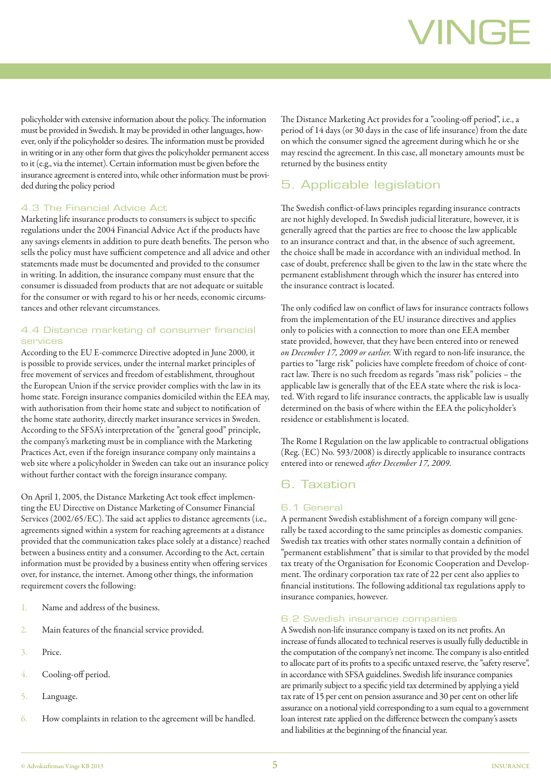policyholder with extensive information about the policy. The information must be provided in Swedish. It may be provided in other languages, however, only if the policyholder so desires. The information must be provided in writing or in any other form that gives the policyholder permanent access to it (e.g., via the internet). Certain information must be given before the insurance agreement is entered into, while other information must be provided during the policy period

#### 4.3 The Financial Advice Act

Marketing life insurance products to consumers is subject to specific regulations under the 2004 Financial Advice Act if the products have any savings elements in addition to pure death benefits. The person who sells the policy must have sufficient competence and all advice and other statements made must be documented and provided to the consumer in writing. In addition, the insurance company must ensure that the consumer is dissuaded from products that are not adequate or suitable for the consumer or with regard to his or her needs, economic circumstances and other relevant circumstances.

#### 4.4 Distance marketing of consumer financial services

According to the EU E-commerce Directive adopted in June 2000, it is possible to provide services, under the internal market principles of free movement of services and freedom of establishment, throughout the European Union if the service provider complies with the law in its home state. Foreign insurance companies domiciled within the EEA may, with authorisation from their home state and subject to notification of the home state authority, directly market insurance services in Sweden. According to the SFSA's interpretation of the "general good" principle, the company's marketing must be in compliance with the Marketing Practices Act, even if the foreign insurance company only maintains a web site where a policyholder in Sweden can take out an insurance policy without further contact with the foreign insurance company.

On April 1, 2005, the Distance Marketing Act took effect implementing the EU Directive on Distance Marketing of Consumer Financial Services (2002/65/EC). The said act applies to distance agreements (i.e., agreements signed within a system for reaching agreements at a distance provided that the communication takes place solely at a distance) reached between a business entity and a consumer. According to the Act, certain information must be provided by a business entity when offering services over, for instance, the internet. Among other things, the information requirement covers the following:

- 1. Name and address of the business.
- 2. Main features of the financial service provided.
- 3. Price.
- 4. Cooling-off period.
- 5. Language.
- 6. How complaints in relation to the agreement will be handled.

The Distance Marketing Act provides for a "cooling-off period", i.e., a period of 14 days (or 30 days in the case of life insurance) from the date on which the consumer signed the agreement during which he or she may rescind the agreement. In this case, all monetary amounts must be returned by the business entity

#### 5. Applicable legislation

The Swedish conflict-of-laws principles regarding insurance contracts are not highly developed. In Swedish judicial literature, however, it is generally agreed that the parties are free to choose the law applicable to an insurance contract and that, in the absence of such agreement, the choice shall be made in accordance with an individual method. In case of doubt, preference shall be given to the law in the state where the permanent establishment through which the insurer has entered into the insurance contract is located.

The only codified law on conflict of laws for insurance contracts follows from the implementation of the EU insurance directives and applies only to policies with a connection to more than one EEA member state provided, however, that they have been entered into or renewed *on December 17, 2009 or earlier.* With regard to non-life insurance, the parties to "large risk" policies have complete freedom of choice of contract law. There is no such freedom as regards "mass risk" policies – the applicable law is generally that of the EEA state where the risk is located. With regard to life insurance contracts, the applicable law is usually determined on the basis of where within the EEA the policyholder's residence or establishment is located.

The Rome I Regulation on the law applicable to contractual obligations (Reg. (EC) No. 593/2008) is directly applicable to insurance contracts entered into or renewed *after December 17, 2009.*

#### 6. Taxation

#### 6.1 General

A permanent Swedish establishment of a foreign company will generally be taxed according to the same principles as domestic companies. Swedish tax treaties with other states normally contain a definition of "permanent establishment" that is similar to that provided by the model tax treaty of the Organisation for Economic Cooperation and Development. The ordinary corporation tax rate of 22 per cent also applies to financial institutions. The following additional tax regulations apply to insurance companies, however.

#### 6.2 Swedish insurance companies

A Swedish non-life insurance company is taxed on its net profits. An increase of funds allocated to technical reserves is usually fully deductible in the computation of the company's net income. The company is also entitled to allocate part of its profits to a specific untaxed reserve, the "safety reserve", in accordance with SFSA guidelines. Swedish life insurance companies are primarily subject to a specific yield tax determined by applying a yield tax rate of 15 per cent on pension assurance and 30 per cent on other life assurance on a notional yield corresponding to a sum equal to a government loan interest rate applied on the difference between the company's assets and liabilities at the beginning of the financial year.